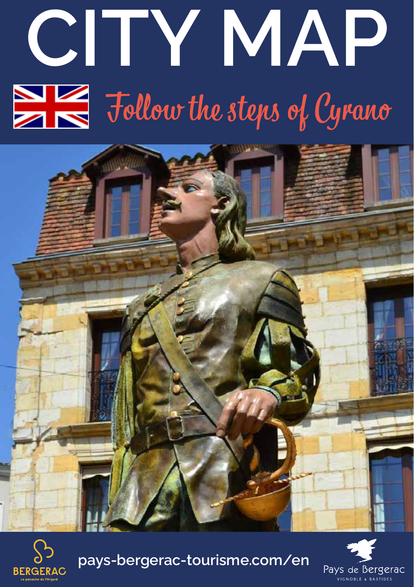# **CITY MAP**  $\sum_{n=1}^{\infty}$  Follow the steps of Cyrano





**pays-bergerac-tourisme.com/en**

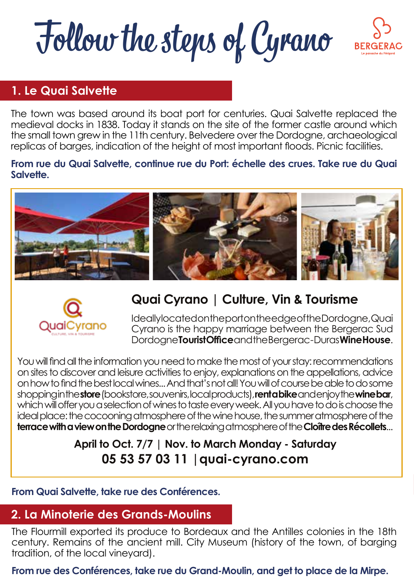Follow the steps of Cyrano



#### **1. Le Quai Salvette**

The town was based around its boat port for centuries. Quai Salvette replaced the medieval docks in 1838. Today it stands on the site of the former castle around which the small town grew in the 11th century. Belvedere over the Dordogne, archaeological replicas of barges, indication of the height of most important floods. Picnic facilities.

#### **From rue du Quai Salvette, continue rue du Port: échelle des crues. Take rue du Quai Salvette.**





#### **Quai Cyrano | Culture, Vin & Tourisme**

Ideally located on the port on the edge of the Dordogne, Quai Cyrano is the happy marriage between the Bergerac Sud Dordogne **Tourist Office** and the Bergerac - Duras **Wine House**.

You will find all the information you need to make the most of your stay: recommendations on sites to discover and leisure activities to enjoy, explanations on the appellations, advice on how to find the best local wines... And that's not all! You will of course be able to do some shopping in the **store** (bookstore, souvenirs, local products), **rent a bike** and enjoy the **wine bar**, which will offer you a selection of wines to taste every week. All you have to do is choose the ideal place: the cocooning atmosphere of the wine house, the summer atmosphere of the **terrace with a view on the Dordogne** or the relaxing atmosphere of the **Cloître des Récollets**...

#### **April to Oct. 7/7 | Nov. to March Monday - Saturday 05 53 57 03 11 |quai-cyrano.com**

#### **From Quai Salvette, take rue des Conférences.**

#### **2. La Minoterie des Grands-Moulins**

The Flourmill exported its produce to Bordeaux and the Antilles colonies in the 18th century. Remains of the ancient mill. City Museum (history of the town, of barging tradition, of the local vineyard).

**From rue des Conférences, take rue du Grand-Moulin, and get to place de la Mirpe.**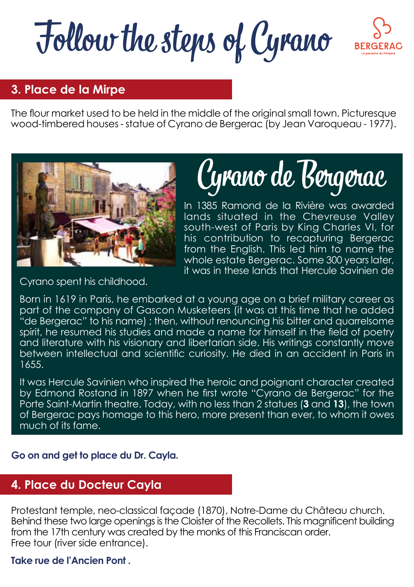Follow the steps of Cyrano



#### **3. Place de la Mirpe**

The flour market used to be held in the middle of the original small town. Picturesque wood-timbered houses - statue of Cyrano de Bergerac (by Jean Varoqueau - 1977).



### Cyrano de Bergerac

In 1385 Ramond de la Rivière was awarded lands situated in the Chevreuse Valley south-west of Paris by King Charles VI, for his contribution to recapturing Bergerac from the English. This led him to name the whole estate Bergerac. Some 300 years later, it was in these lands that Hercule Savinien de

Cyrano spent his childhood.

Born in 1619 in Paris, he embarked at a young age on a brief military career as part of the company of Gascon Musketeers (it was at this time that he added "de Bergerac" to his name) ; then, without renouncing his bitter and quarrelsome spirit, he resumed his studies and made a name for himself in the field of poetry and literature with his visionary and libertarian side. His writings constantly move between intellectual and scientific curiosity. He died in an accident in Paris in 1655.

It was Hercule Savinien who inspired the heroic and poignant character created by Edmond Rostand in 1897 when he first wrote "Cyrano de Bergerac" for the Porte Saint-Martin theatre. Today, with no less than 2 statues (**3** and **13**), the town of Bergerac pays homage to this hero, more present than ever, to whom it owes much of its fame.

**Go on and get to place du Dr. Cayla.**

#### **4. Place du Docteur Cayla**

Protestant temple, neo-classical façade (1870), Notre-Dame du Château church. Behind these two large openings is the Cloister of the Recollets. This magnificent building from the 17th century was created by the monks of this Franciscan order. Free tour (river side entrance).

#### **Take rue de l'Ancien Pont .**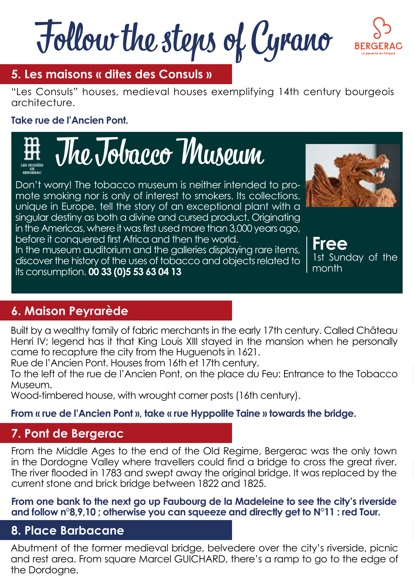Follow the steps of Cyrano



#### **5. Les maisons « dites des Consuls »**

"Les Consuls" houses, medieval houses exemplifying 14th century bourgeois architecture.

#### **Take rue de l'Ancien Pont.**

The Tobacco Museum

Don't worry! The tobacco museum is neither intended to promote smoking nor is only of interest to smokers. Its collections, unique in Europe, tell the story of an exceptional plant with a singular destiny as both a divine and cursed product. Originating in the Americas, where it was first used more than 3,000 years ago, before it conquered first Africa and then the world.

In the museum auditorium and the galleries displaying rare items, discover the history of the uses of tobacco and objects related to its consumption. **00 33 (0)5 53 63 04 13**

**Free** Sunday of the month

#### **6. Maison Peyrarède**

Built by a wealthy family of fabric merchants in the early 17th century. Called Château Henri IV; legend has it that King Louis XIII stayed in the mansion when he personally came to recapture the city from the Huguenots in 1621.

Rue de l'Ancien Pont. Houses from 16th et 17th century.

To the left of the rue de l'Ancien Pont, on the place du Feu: Entrance to the Tobacco Museum.

Wood-timbered house, with wrought corner posts (16th century).

#### **From « rue de l'Ancien Pont », take « rue Hyppolite Taine » towards the bridge.**

#### **7. Pont de Bergerac**

From the Middle Ages to the end of the Old Regime, Bergerac was the only town in the Dordogne Valley where travellers could find a bridge to cross the great river. The river flooded in 1783 and swept away the original bridge. It was replaced by the current stone and brick bridge between 1822 and 1825.

**From one bank to the next go up Faubourg de la Madeleine to see the city's riverside and follow n°8,9,10 ; otherwise you can squeeze and directly get to N°11 : red Tour.**

#### **8. Place Barbacane**

Abutment of the former medieval bridge, belvedere over the city's riverside, picnic and rest area. From square Marcel GUICHARD, there's a ramp to go to the edge of the Dordogne.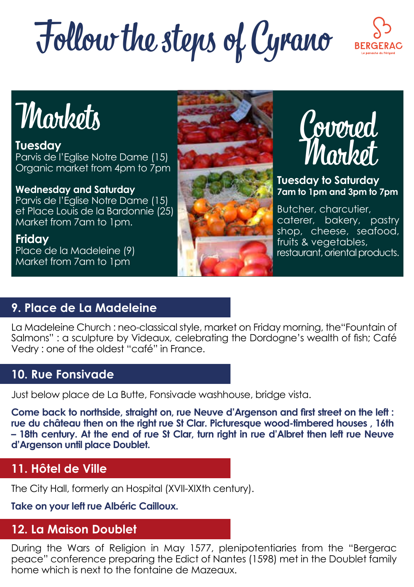## Follow the steps of Cyrano



### **Markets**

**Tuesday** Parvis de l'Eglise Notre Dame (15) Organic market from 4pm to 7pm

**Wednesday and Saturday** 

Parvis de l'Eglise Notre Dame (15) et Place Louis de la Bardonnie (25) Market from 7am to 1pm.

**Friday** Place de la Madeleine (9) Market from 7am to 1pm





**Tuesday to Saturday 7am to 1pm and 3pm to 7pm**

Butcher, charcutier, caterer, bakery, pastry shop, cheese, seafood, fruits & vegetables, restaurant, oriental products.

#### **9. Place de La Madeleine**

La Madeleine Church : neo-classical style, market on Friday morning, the"Fountain of Salmons" : a sculpture by Videaux, celebrating the Dordogne's wealth of fish; Café Vedry : one of the oldest "café" in France.

#### **10. Rue Fonsivade**

Just below place de La Butte, Fonsivade washhouse, bridge vista.

**Come back to northside, straight on, rue Neuve d'Argenson and first street on the left : rue du château then on the right rue St Clar. Picturesque wood-timbered houses , 16th – 18th century. At the end of rue St Clar, turn right in rue d'Albret then left rue Neuve d'Argenson until place Doublet.**

#### **11. Hôtel de Ville**

The City Hall, formerly an Hospital (XVII-XIXth century).

**Take on your left rue Albéric Cailloux.**

#### **12. La Maison Doublet**

During the Wars of Religion in May 1577, plenipotentiaries from the "Bergerac peace" conference preparing the Edict of Nantes (1598) met in the Doublet family home which is next to the fontaine de Mazeaux.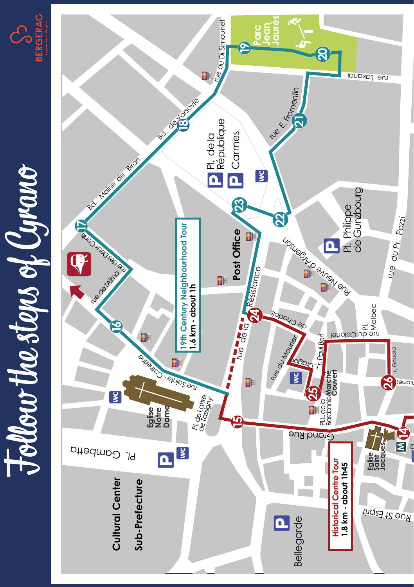



**M**

**14**

 $\overline{a}$ 

r. des Fontaines **26**

 $\begin{picture}(180,190) \put(0,0){\line(1,0){10}} \put(10,0){\line(1,0){10}} \put(10,0){\line(1,0){10}} \put(10,0){\line(1,0){10}} \put(10,0){\line(1,0){10}} \put(10,0){\line(1,0){10}} \put(10,0){\line(1,0){10}} \put(10,0){\line(1,0){10}} \put(10,0){\line(1,0){10}} \put(10,0){\line(1,0){10}} \put(10,0){\line(1,0){10}} \put(10,0){\line$ 

**Eglise Saint Jacques**

r. Gaudra

ru e  $\sigma$ 

Pr. Pozzi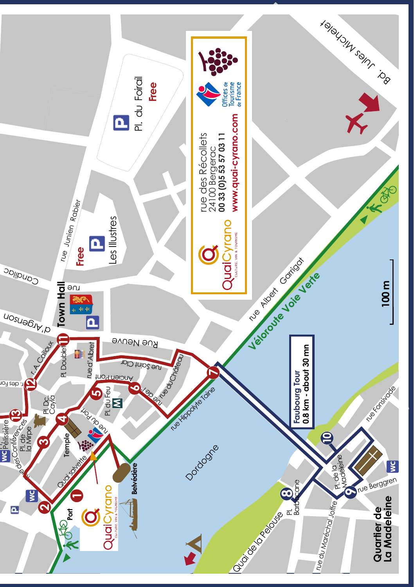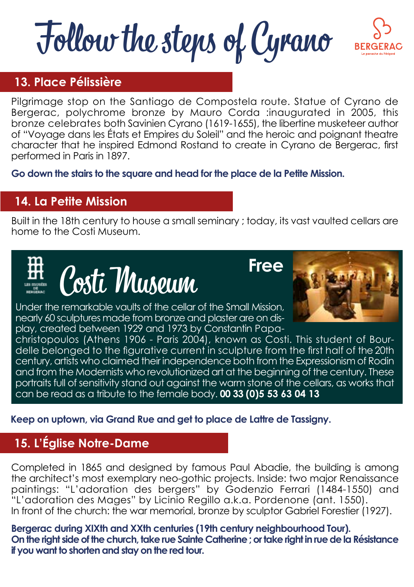## Follow the steps of Cyrano



#### **13. Place Pélissière**

Pilgrimage stop on the Santiago de Compostela route. Statue of Cyrano de Bergerac, polychrome bronze by Mauro Corda :inaugurated in 2005, this bronze celebrates both Savinien Cyrano (1619-1655), the libertine musketeer author of "Voyage dans les États et Empires du Soleil" and the heroic and poignant theatre character that he inspired Edmond Rostand to create in Cyrano de Bergerac, first performed in Paris in 1897.

**Go down the stairs to the square and head for the place de la Petite Mission.**

#### **14. La Petite Mission**

Built in the 18th century to house a small seminary ; today, its vast vaulted cellars are home to the Costi Museum.



**Free**

Under the remarkable vaults of the cellar of the Small Mission, nearly 60 sculptures made from bronze and plaster are on display, created between 1929 and 1973 by Constantin Papa-



christopoulos (Athens 1906 - Paris 2004), known as Costi. This student of Bourdelle belonged to the figurative current in sculpture from the first half of the 20th century, artists who claimed their independence both from the Expressionism of Rodin and from the Modernists who revolutionized art at the beginning of the century. These portraits full of sensitivity stand out against the warm stone of the cellars, as works that can be read as a tribute to the female body. **00 33 (0)5 53 63 04 13**

**Keep on uptown, via Grand Rue and get to place de Lattre de Tassigny.**

#### **15. L'Église Notre-Dame**

Completed in 1865 and designed by famous Paul Abadie, the building is among the architect's most exemplary neo-gothic projects. Inside: two major Renaissance paintings: "L'adoration des bergers" by Godenzio Ferrari (1484-1550) and "L'adoration des Mages" by Licinio Regillo a.k.a. Pordenone (ant. 1550). In front of the church: the war memorial, bronze by sculptor Gabriel Forestier (1927).

**Bergerac during XIXth and XXth centuries (19th century neighbourhood Tour). On the right side of the church, take rue Sainte Catherine ; or take right in rue de la Résistance if you want to shorten and stay on the red tour.**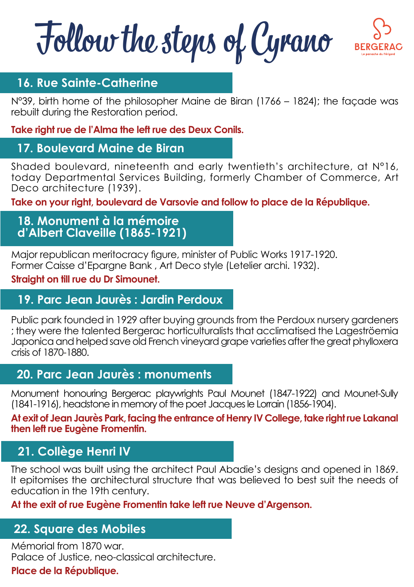Follow the steps of Cyrano



#### **16. Rue Sainte-Catherine**

N°39, birth home of the philosopher Maine de Biran (1766 – 1824); the façade was rebuilt during the Restoration period.

#### **Take right rue de l'Alma the left rue des Deux Conils.**

#### **17. Boulevard Maine de Biran**

Shaded boulevard, nineteenth and early twentieth's architecture, at N°16, today Departmental Services Building, formerly Chamber of Commerce, Art Deco architecture (1939).

**Take on your right, boulevard de Varsovie and follow to place de la République.**

#### **18. Monument à la mémoire d'Albert Claveille (1865-1921)**

Major republican meritocracy figure, minister of Public Works 1917-1920. Former Caisse d'Epargne Bank , Art Deco style (Letelier archi. 1932).

#### **Straight on till rue du Dr Simounet.**

#### **19. Parc Jean Jaurès : Jardin Perdoux**

Public park founded in 1929 after buying grounds from the Perdoux nursery gardeners ; they were the talented Bergerac horticulturalists that acclimatised the Lageströemia Japonica and helped save old French vineyard grape varieties after the great phylloxera crisis of 1870-1880.

#### **20. Parc Jean Jaurès : monuments**

Monument honouring Bergerac playwrights Paul Mounet (1847-1922) and Mounet-Sully (1841-1916), headstone in memory of the poet Jacques le Lorrain (1856-1904).

**At exit of Jean Jaurès Park, facing the entrance of Henry IV College, take right rue Lakanal then left rue Eugène Fromentin.**

#### **21. Collège Henri IV**

The school was built using the architect Paul Abadie's designs and opened in 1869. It epitomises the architectural structure that was believed to best suit the needs of education in the 19th century.

#### **At the exit of rue Eugène Fromentin take left rue Neuve d'Argenson.**

#### **22. Square des Mobiles**

Mémorial from 1870 war. Palace of Justice, neo-classical architecture.

#### **Place de la République.**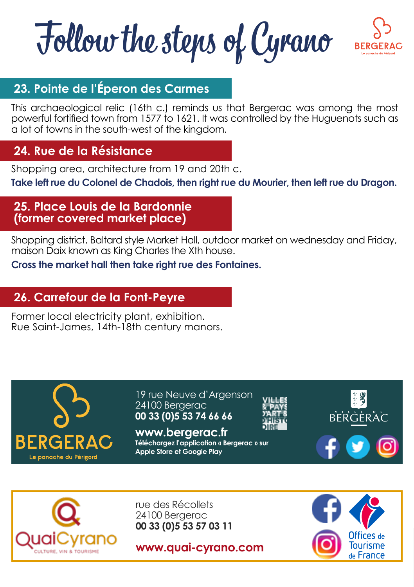Follow the steps of Cyrano



#### **23. Pointe de l'Éperon des Carmes**

This archaeological relic (16th c.) reminds us that Bergerac was among the most powerful fortified town from 1577 to 1621. It was controlled by the Huguenots such as a lot of towns in the south-west of the kingdom.

#### **24. Rue de la Résistance**

Shopping area, architecture from 19 and 20th c.

**Take left rue du Colonel de Chadois, then right rue du Mourier, then left rue du Dragon.**

#### **25. Place Louis de la Bardonnie (former covered market place)**

Shopping district, Baltard style Market Hall, outdoor market on wednesday and Friday, maison Daix known as King Charles the Xth house.

**Cross the market hall then take right rue des Fontaines.**

#### **26. Carrefour de la Font-Peyre**

Former local electricity plant, exhibition. Rue Saint-James, 14th-18th century manors.



19 rue Neuve d'Argenson 24100 Bergerac **00 33 (0)5 53 74 66 66**

**www.bergerac.fr Téléchargez l'application « Bergerac » sur Apple Store et Google Play**







rue des Récollets 24100 Bergerac **00 33 (0)5 53 57 03 11**

**www.quai-cyrano.com**

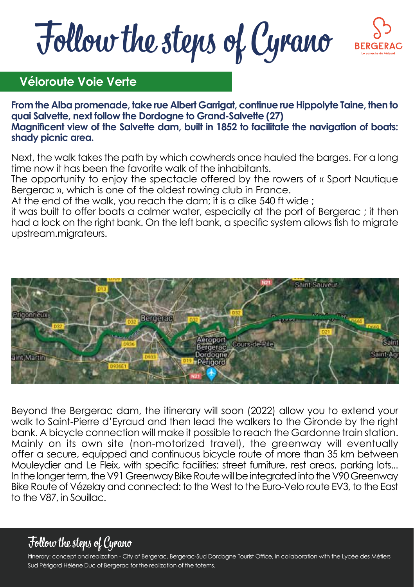Follow the steps of Cyrano



#### **Véloroute Voie Verte**

**From the Alba promenade, take rue Albert Garrigat, continue rue Hippolyte Taine, then to quai Salvette, next follow the Dordogne to Grand-Salvette (27) Magnificent view of the Salvette dam, built in 1852 to facilitate the navigation of boats: shady picnic area.**

Next, the walk takes the path by which cowherds once hauled the barges. For a long time now it has been the favorite walk of the inhabitants.

The opportunity to enjoy the spectacle offered by the rowers of « Sport Nautique Bergerac », which is one of the oldest rowing club in France.

At the end of the walk, you reach the dam; it is a dike 540 ft wide ;

it was built to offer boats a calmer water, especially at the port of Bergerac ; it then had a lock on the right bank. On the left bank, a specific system allows fish to migrate upstream.migrateurs.



Beyond the Bergerac dam, the itinerary will soon (2022) allow you to extend your walk to Saint-Pierre d'Eyraud and then lead the walkers to the Gironde by the right bank. A bicycle connection will make it possible to reach the Gardonne train station. Mainly on its own site (non-motorized travel), the greenway will eventually offer a secure, equipped and continuous bicycle route of more than 35 km between Mouleydier and Le Fleix, with specific facilities: street furniture, rest areas, parking lots... In the longer term, the V91 Greenway Bike Route will be integrated into the V90 Greenway Bike Route of Vézelay and connected: to the West to the Euro-Velo route EV3, to the East to the V87, in Souillac.

#### Follow the steps of Cyrano

Itinerary: concept and realization - City of Bergerac, Bergerac-Sud Dordogne Tourist Office, in collaboration with the Lycée des Métiers Sud Périgord Héléne Duc of Bergerac for the realization of the totems.